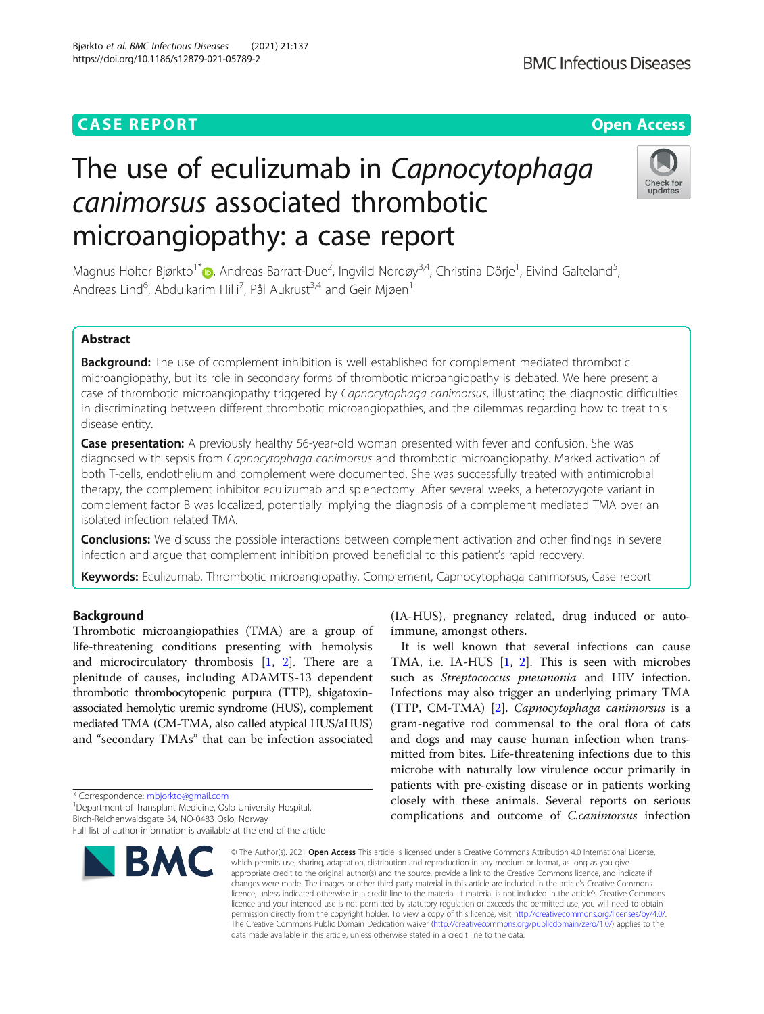## **CASE REPORT CASE ACCESS**

# The use of eculizumab in Capnocytophaga canimorsus associated thrombotic microangiopathy: a case report

Magnus Holter Bjørkto<sup>1[\\*](http://orcid.org/0000-0002-2749-6558)</sup>D, Andreas Barratt-Due<sup>2</sup>, Ingvild Nordøy<sup>3,4</sup>, Christina Dörje<sup>1</sup>, Eivind Galteland<sup>5</sup> , Andreas Lind<sup>6</sup>, Abdulkarim Hilli<sup>7</sup>, Pål Aukrust<sup>3,4</sup> and Geir Mjøen<sup>1</sup>

## Abstract

**Background:** The use of complement inhibition is well established for complement mediated thrombotic microangiopathy, but its role in secondary forms of thrombotic microangiopathy is debated. We here present a case of thrombotic microangiopathy triggered by Capnocytophaga canimorsus, illustrating the diagnostic difficulties in discriminating between different thrombotic microangiopathies, and the dilemmas regarding how to treat this disease entity.

Case presentation: A previously healthy 56-year-old woman presented with fever and confusion. She was diagnosed with sepsis from *Capnocytophaga canimorsus* and thrombotic microangiopathy. Marked activation of both T-cells, endothelium and complement were documented. She was successfully treated with antimicrobial therapy, the complement inhibitor eculizumab and splenectomy. After several weeks, a heterozygote variant in complement factor B was localized, potentially implying the diagnosis of a complement mediated TMA over an isolated infection related TMA.

**Conclusions:** We discuss the possible interactions between complement activation and other findings in severe infection and argue that complement inhibition proved beneficial to this patient's rapid recovery.

Keywords: Eculizumab, Thrombotic microangiopathy, Complement, Capnocytophaga canimorsus, Case report

## Background

Thrombotic microangiopathies (TMA) are a group of life-threatening conditions presenting with hemolysis and microcirculatory thrombosis  $[1, 2]$  $[1, 2]$  $[1, 2]$  $[1, 2]$ . There are a plenitude of causes, including ADAMTS-13 dependent thrombotic thrombocytopenic purpura (TTP), shigatoxinassociated hemolytic uremic syndrome (HUS), complement mediated TMA (CM-TMA, also called atypical HUS/aHUS) and "secondary TMAs" that can be infection associated

\* Correspondence: [mbjorkto@gmail.com](mailto:mbjorkto@gmail.com) <sup>1</sup>

<sup>1</sup> Department of Transplant Medicine, Oslo University Hospital, Birch-Reichenwaldsgate 34, NO-0483 Oslo, Norway

(IA-HUS), pregnancy related, drug induced or autoimmune, amongst others. It is well known that several infections can cause

TMA, i.e. IA-HUS [[1,](#page-5-0) [2\]](#page-5-0). This is seen with microbes such as Streptococcus pneumonia and HIV infection. Infections may also trigger an underlying primary TMA (TTP, CM-TMA) [[2\]](#page-5-0). Capnocytophaga canimorsus is a gram-negative rod commensal to the oral flora of cats and dogs and may cause human infection when transmitted from bites. Life-threatening infections due to this microbe with naturally low virulence occur primarily in patients with pre-existing disease or in patients working closely with these animals. Several reports on serious complications and outcome of C.canimorsus infection

© The Author(s), 2021 **Open Access** This article is licensed under a Creative Commons Attribution 4.0 International License, which permits use, sharing, adaptation, distribution and reproduction in any medium or format, as long as you give appropriate credit to the original author(s) and the source, provide a link to the Creative Commons licence, and indicate if changes were made. The images or other third party material in this article are included in the article's Creative Commons licence, unless indicated otherwise in a credit line to the material. If material is not included in the article's Creative Commons licence and your intended use is not permitted by statutory regulation or exceeds the permitted use, you will need to obtain permission directly from the copyright holder. To view a copy of this licence, visit [http://creativecommons.org/licenses/by/4.0/.](http://creativecommons.org/licenses/by/4.0/) The Creative Commons Public Domain Dedication waiver [\(http://creativecommons.org/publicdomain/zero/1.0/](http://creativecommons.org/publicdomain/zero/1.0/)) applies to the data made available in this article, unless otherwise stated in a credit line to the data.

BMC







Full list of author information is available at the end of the article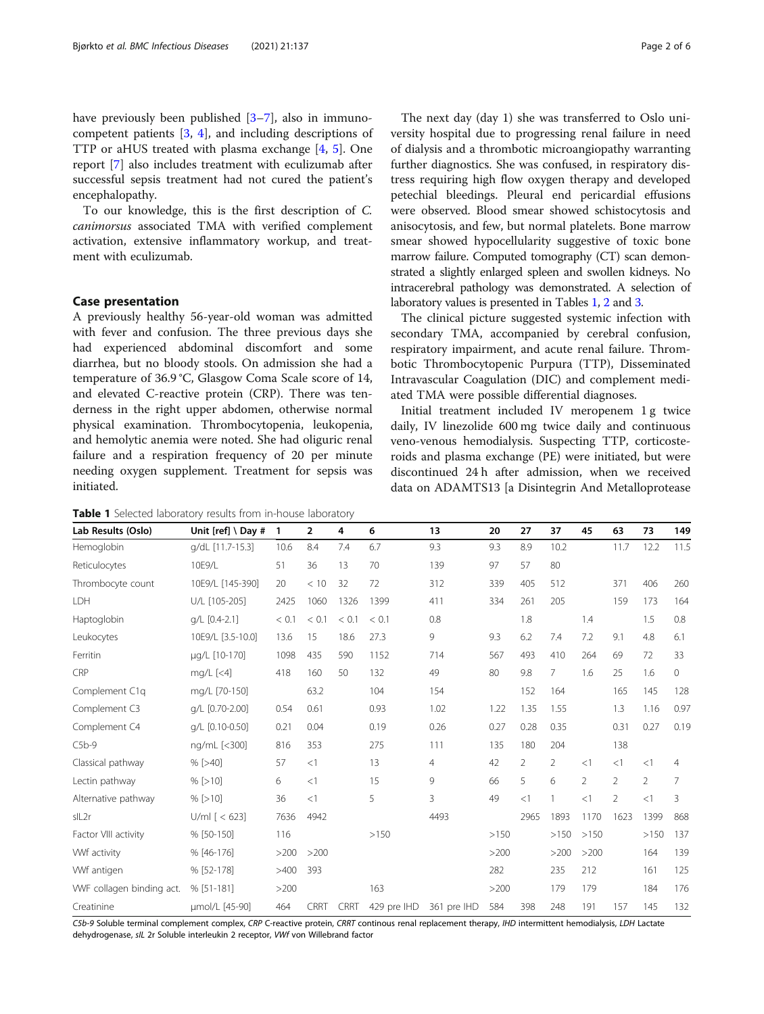<span id="page-1-0"></span>have previously been published [\[3](#page-5-0)–[7\]](#page-5-0), also in immunocompetent patients [\[3](#page-5-0), [4](#page-5-0)], and including descriptions of TTP or aHUS treated with plasma exchange [[4,](#page-5-0) [5](#page-5-0)]. One report [[7\]](#page-5-0) also includes treatment with eculizumab after successful sepsis treatment had not cured the patient's encephalopathy.

To our knowledge, this is the first description of C. canimorsus associated TMA with verified complement activation, extensive inflammatory workup, and treatment with eculizumab.

## Case presentation

A previously healthy 56-year-old woman was admitted with fever and confusion. The three previous days she had experienced abdominal discomfort and some diarrhea, but no bloody stools. On admission she had a temperature of 36.9 °C, Glasgow Coma Scale score of 14, and elevated C-reactive protein (CRP). There was tenderness in the right upper abdomen, otherwise normal physical examination. Thrombocytopenia, leukopenia, and hemolytic anemia were noted. She had oliguric renal failure and a respiration frequency of 20 per minute needing oxygen supplement. Treatment for sepsis was initiated.

Table 1 Selected laboratory results from in-house laboratory

The next day (day 1) she was transferred to Oslo university hospital due to progressing renal failure in need of dialysis and a thrombotic microangiopathy warranting further diagnostics. She was confused, in respiratory distress requiring high flow oxygen therapy and developed petechial bleedings. Pleural end pericardial effusions were observed. Blood smear showed schistocytosis and anisocytosis, and few, but normal platelets. Bone marrow smear showed hypocellularity suggestive of toxic bone marrow failure. Computed tomography (CT) scan demonstrated a slightly enlarged spleen and swollen kidneys. No intracerebral pathology was demonstrated. A selection of laboratory values is presented in Tables 1, [2](#page-2-0) and [3.](#page-2-0)

The clinical picture suggested systemic infection with secondary TMA, accompanied by cerebral confusion, respiratory impairment, and acute renal failure. Thrombotic Thrombocytopenic Purpura (TTP), Disseminated Intravascular Coagulation (DIC) and complement mediated TMA were possible differential diagnoses.

Initial treatment included IV meropenem 1 g twice daily, IV linezolide 600 mg twice daily and continuous veno-venous hemodialysis. Suspecting TTP, corticosteroids and plasma exchange (PE) were initiated, but were discontinued 24 h after admission, when we received data on ADAMTS13 [a Disintegrin And Metalloprotease

| Lab Results (Oslo)        | Unit [ref] $\setminus$ Day # | 1     | $\overline{2}$ | 4           | 6           | 13             | 20   | 27      | 37             | 45             | 63             | 73             | 149  |
|---------------------------|------------------------------|-------|----------------|-------------|-------------|----------------|------|---------|----------------|----------------|----------------|----------------|------|
| Hemoglobin                | q/dL [11.7-15.3]             | 10.6  | 8.4            | 7.4         | 6.7         | 9.3            | 9.3  | 8.9     | 10.2           |                | 11.7           | 12.2           | 11.5 |
| Reticulocytes             | 10E9/L                       | 51    | 36             | 13          | 70          | 139            | 97   | 57      | 80             |                |                |                |      |
| Thrombocyte count         | 10E9/L [145-390]             | 20    | < 10           | 32          | 72          | 312            | 339  | 405     | 512            |                | 371            | 406            | 260  |
| LDH                       | U/L [105-205]                | 2425  | 1060           | 1326        | 1399        | 411            | 334  | 261     | 205            |                | 159            | 173            | 164  |
| Haptoglobin               | q/L [0.4-2.1]                | < 0.1 | < 0.1          | < 0.1       | < 0.1       | 0.8            |      | 1.8     |                | 1.4            |                | 1.5            | 0.8  |
| Leukocytes                | 10E9/L [3.5-10.0]            | 13.6  | 15             | 18.6        | 27.3        | 9              | 9.3  | 6.2     | 7.4            | 7.2            | 9.1            | 4.8            | 6.1  |
| Ferritin                  | µg/L [10-170]                | 1098  | 435            | 590         | 1152        | 714            | 567  | 493     | 410            | 264            | 69             | 72             | 33   |
| CRP                       | $mq/L$ [<4]                  | 418   | 160            | 50          | 132         | 49             | 80   | 9.8     | 7              | 1.6            | 25             | 1.6            | 0    |
| Complement C1q            | mg/L [70-150]                |       | 63.2           |             | 104         | 154            |      | 152     | 164            |                | 165            | 145            | 128  |
| Complement C3             | q/L [0.70-2.00]              | 0.54  | 0.61           |             | 0.93        | 1.02           | 1.22 | 1.35    | 1.55           |                | 1.3            | 1.16           | 0.97 |
| Complement C4             | q/L [0.10-0.50]              | 0.21  | 0.04           |             | 0.19        | 0.26           | 0.27 | 0.28    | 0.35           |                | 0.31           | 0.27           | 0.19 |
| $C5b-9$                   | ng/mL [<300]                 | 816   | 353            |             | 275         | 111            | 135  | 180     | 204            |                | 138            |                |      |
| Classical pathway         | $%$ [>40]                    | 57    | <1             |             | 13          | $\overline{4}$ | 42   | 2       | $\overline{2}$ | $\lt$ 1        | <1             | <1             | 4    |
| Lectin pathway            | $%$ [>10]                    | 6     | $\leq$ 1       |             | 15          | 9              | 66   | 5       | 6              | $\overline{2}$ | $\overline{2}$ | $\overline{2}$ | 7    |
| Alternative pathway       | $%$ [>10]                    | 36    | <1             |             | 5           | 3              | 49   | $\lt$ 1 |                | $\lt$ 1        | $\overline{2}$ | <1             | 3    |
| slL2r                     | U/ml $\lceil$ < 623]         | 7636  | 4942           |             |             | 4493           |      | 2965    | 1893           | 1170           | 1623           | 1399           | 868  |
| Factor VIII activity      | % [50-150]                   | 116   |                |             | >150        |                | >150 |         | >150           | >150           |                | >150           | 137  |
| Wf activity               | % [46-176]                   | >200  | >200           |             |             |                | >200 |         | >200           | >200           |                | 164            | 139  |
| Wf antigen                | % [52-178]                   | >400  | 393            |             |             |                | 282  |         | 235            | 212            |                | 161            | 125  |
| WVF collagen binding act. | $%$ [51-181]                 | >200  |                |             | 163         |                | >200 |         | 179            | 179            |                | 184            | 176  |
| Creatinine                | umol/L [45-90]               | 464   | CRRT           | <b>CRRT</b> | 429 pre IHD | 361 pre IHD    | 584  | 398     | 248            | 191            | 157            | 145            | 132  |

C5b-9 Soluble terminal complement complex, CRP C-reactive protein, CRRT continous renal replacement therapy, IHD intermittent hemodialysis, LDH Lactate dehydrogenase, sIL 2r Soluble interleukin 2 receptor, VWf von Willebrand factor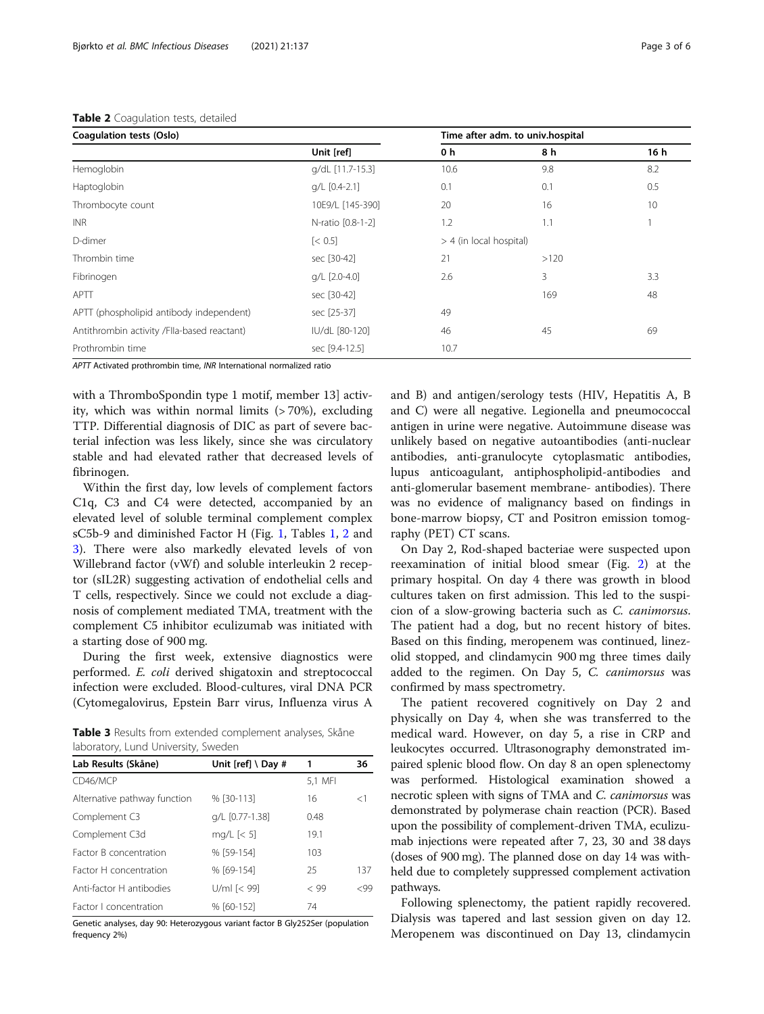### <span id="page-2-0"></span>Table 2 Coagulation tests, detailed

| Coagulation tests (Oslo)                    |                        |      | Time after adm. to univ.hospital |      |
|---------------------------------------------|------------------------|------|----------------------------------|------|
|                                             | Unit [ref]             | 0 h  | 8 h                              | 16 h |
| Hemoglobin                                  | q/dL [11.7-15.3]       | 10.6 | 9.8                              | 8.2  |
| Haptoglobin                                 | g/L [0.4-2.1]          | 0.1  | 0.1                              | 0.5  |
| Thrombocyte count                           | 10E9/L [145-390]       | 20   | 16                               | 10   |
| <b>INR</b>                                  | N-ratio [0.8-1-2]      | 1.2  | 1.1                              |      |
| D-dimer                                     | $\left[ < 0.5 \right]$ |      | $>$ 4 (in local hospital)        |      |
| Thrombin time                               | sec [30-42]            | 21   | >120                             |      |
| Fibrinogen                                  | g/L [2.0-4.0]          | 2.6  | 3                                | 3.3  |
| APTT                                        | sec [30-42]            |      | 169                              | 48   |
| APTT (phospholipid antibody independent)    | sec [25-37]            | 49   |                                  |      |
| Antithrombin activity /Flla-based reactant) | IU/dL [80-120]         | 46   | 45                               | 69   |
| Prothrombin time                            | sec [9.4-12.5]         | 10.7 |                                  |      |

APTT Activated prothrombin time, INR International normalized ratio

with a ThromboSpondin type 1 motif, member 13] activity, which was within normal limits (> 70%), excluding TTP. Differential diagnosis of DIC as part of severe bacterial infection was less likely, since she was circulatory stable and had elevated rather that decreased levels of fibrinogen.

Within the first day, low levels of complement factors C1q, C3 and C4 were detected, accompanied by an elevated level of soluble terminal complement complex sC5b-9 and diminished Factor H (Fig. [1](#page-3-0), Tables [1,](#page-1-0) 2 and 3). There were also markedly elevated levels of von Willebrand factor (vWf) and soluble interleukin 2 receptor (sIL2R) suggesting activation of endothelial cells and T cells, respectively. Since we could not exclude a diagnosis of complement mediated TMA, treatment with the complement C5 inhibitor eculizumab was initiated with a starting dose of 900 mg.

During the first week, extensive diagnostics were performed. E. coli derived shigatoxin and streptococcal infection were excluded. Blood-cultures, viral DNA PCR (Cytomegalovirus, Epstein Barr virus, Influenza virus A

Table 3 Results from extended complement analyses, Skåne laboratory, Lund University, Sweden

| Lab Results (Skåne)          | Unit [ref] \ Day # | 1       | 36    |
|------------------------------|--------------------|---------|-------|
| CD46/MCP                     |                    | 5,1 MFI |       |
| Alternative pathway function | % [30-113]         | 16      | $<$ 1 |
| Complement C3                | g/L [0.77-1.38]    | 0.48    |       |
| Complement C3d               | mg/L $[< 5]$       | 19.1    |       |
| Factor B concentration       | % [59-154]         | 103     |       |
| Factor H concentration       | % [69-154]         | 25      | 137   |
| Anti-factor H antibodies     | $U/ml \sim 99$     | < 99    | <99   |
| Factor Lconcentration        | % [60-152]         | 74      |       |

Genetic analyses, day 90: Heterozygous variant factor B Gly252Ser (population frequency 2%)

and B) and antigen/serology tests (HIV, Hepatitis A, B and C) were all negative. Legionella and pneumococcal antigen in urine were negative. Autoimmune disease was unlikely based on negative autoantibodies (anti-nuclear antibodies, anti-granulocyte cytoplasmatic antibodies, lupus anticoagulant, antiphospholipid-antibodies and anti-glomerular basement membrane- antibodies). There was no evidence of malignancy based on findings in bone-marrow biopsy, CT and Positron emission tomography (PET) CT scans.

On Day 2, Rod-shaped bacteriae were suspected upon reexamination of initial blood smear (Fig. [2](#page-3-0)) at the primary hospital. On day 4 there was growth in blood cultures taken on first admission. This led to the suspicion of a slow-growing bacteria such as C. canimorsus. The patient had a dog, but no recent history of bites. Based on this finding, meropenem was continued, linezolid stopped, and clindamycin 900 mg three times daily added to the regimen. On Day 5, C. canimorsus was confirmed by mass spectrometry.

The patient recovered cognitively on Day 2 and physically on Day 4, when she was transferred to the medical ward. However, on day 5, a rise in CRP and leukocytes occurred. Ultrasonography demonstrated impaired splenic blood flow. On day 8 an open splenectomy was performed. Histological examination showed a necrotic spleen with signs of TMA and C. canimorsus was demonstrated by polymerase chain reaction (PCR). Based upon the possibility of complement-driven TMA, eculizumab injections were repeated after 7, 23, 30 and 38 days (doses of 900 mg). The planned dose on day 14 was withheld due to completely suppressed complement activation pathways.

Following splenectomy, the patient rapidly recovered. Dialysis was tapered and last session given on day 12. Meropenem was discontinued on Day 13, clindamycin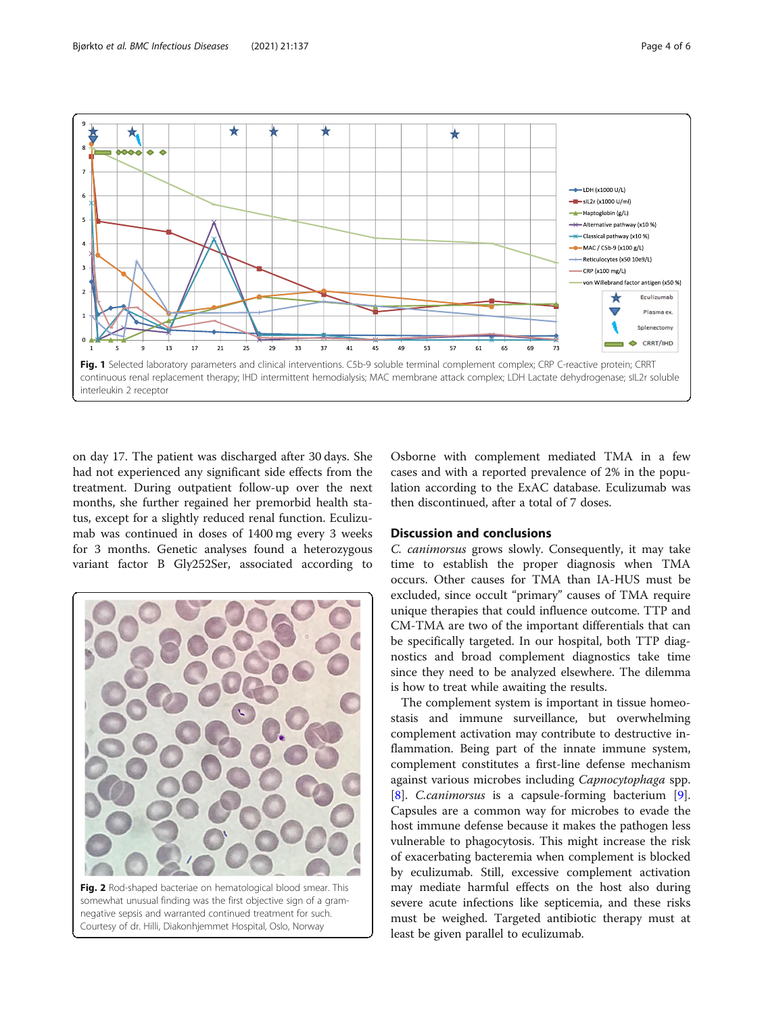<span id="page-3-0"></span>

on day 17. The patient was discharged after 30 days. She had not experienced any significant side effects from the treatment. During outpatient follow-up over the next months, she further regained her premorbid health status, except for a slightly reduced renal function. Eculizumab was continued in doses of 1400 mg every 3 weeks for 3 months. Genetic analyses found a heterozygous variant factor B Gly252Ser, associated according to



Osborne with complement mediated TMA in a few cases and with a reported prevalence of 2% in the population according to the ExAC database. Eculizumab was then discontinued, after a total of 7 doses.

## Discussion and conclusions

C. canimorsus grows slowly. Consequently, it may take time to establish the proper diagnosis when TMA occurs. Other causes for TMA than IA-HUS must be excluded, since occult "primary" causes of TMA require unique therapies that could influence outcome. TTP and CM-TMA are two of the important differentials that can be specifically targeted. In our hospital, both TTP diagnostics and broad complement diagnostics take time since they need to be analyzed elsewhere. The dilemma is how to treat while awaiting the results.

The complement system is important in tissue homeostasis and immune surveillance, but overwhelming complement activation may contribute to destructive inflammation. Being part of the innate immune system, complement constitutes a first-line defense mechanism against various microbes including Capnocytophaga spp. [[8\]](#page-5-0). C.canimorsus is a capsule-forming bacterium [\[9](#page-5-0)]. Capsules are a common way for microbes to evade the host immune defense because it makes the pathogen less vulnerable to phagocytosis. This might increase the risk of exacerbating bacteremia when complement is blocked by eculizumab. Still, excessive complement activation may mediate harmful effects on the host also during severe acute infections like septicemia, and these risks must be weighed. Targeted antibiotic therapy must at least be given parallel to eculizumab.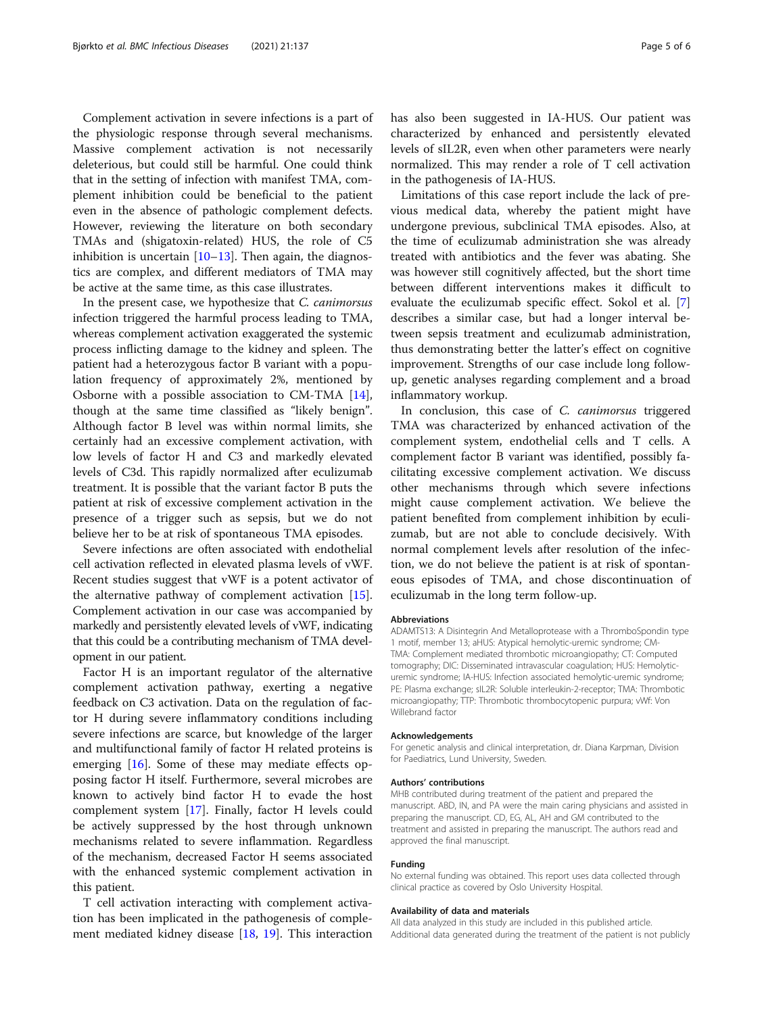Complement activation in severe infections is a part of the physiologic response through several mechanisms. Massive complement activation is not necessarily deleterious, but could still be harmful. One could think that in the setting of infection with manifest TMA, complement inhibition could be beneficial to the patient even in the absence of pathologic complement defects. However, reviewing the literature on both secondary TMAs and (shigatoxin-related) HUS, the role of C5 inhibition is uncertain  $[10-13]$  $[10-13]$  $[10-13]$ . Then again, the diagnostics are complex, and different mediators of TMA may be active at the same time, as this case illustrates.

In the present case, we hypothesize that C. canimorsus infection triggered the harmful process leading to TMA, whereas complement activation exaggerated the systemic process inflicting damage to the kidney and spleen. The patient had a heterozygous factor B variant with a population frequency of approximately 2%, mentioned by Osborne with a possible association to CM-TMA [\[14](#page-5-0)], though at the same time classified as "likely benign". Although factor B level was within normal limits, she certainly had an excessive complement activation, with low levels of factor H and C3 and markedly elevated levels of C3d. This rapidly normalized after eculizumab treatment. It is possible that the variant factor B puts the patient at risk of excessive complement activation in the presence of a trigger such as sepsis, but we do not believe her to be at risk of spontaneous TMA episodes.

Severe infections are often associated with endothelial cell activation reflected in elevated plasma levels of vWF. Recent studies suggest that vWF is a potent activator of the alternative pathway of complement activation [\[15](#page-5-0)]. Complement activation in our case was accompanied by markedly and persistently elevated levels of vWF, indicating that this could be a contributing mechanism of TMA development in our patient.

Factor H is an important regulator of the alternative complement activation pathway, exerting a negative feedback on C3 activation. Data on the regulation of factor H during severe inflammatory conditions including severe infections are scarce, but knowledge of the larger and multifunctional family of factor H related proteins is emerging [[16](#page-5-0)]. Some of these may mediate effects opposing factor H itself. Furthermore, several microbes are known to actively bind factor H to evade the host complement system [[17](#page-5-0)]. Finally, factor H levels could be actively suppressed by the host through unknown mechanisms related to severe inflammation. Regardless of the mechanism, decreased Factor H seems associated with the enhanced systemic complement activation in this patient.

T cell activation interacting with complement activation has been implicated in the pathogenesis of complement mediated kidney disease [\[18](#page-5-0), [19](#page-5-0)]. This interaction has also been suggested in IA-HUS. Our patient was characterized by enhanced and persistently elevated levels of sIL2R, even when other parameters were nearly normalized. This may render a role of T cell activation in the pathogenesis of IA-HUS.

Limitations of this case report include the lack of previous medical data, whereby the patient might have undergone previous, subclinical TMA episodes. Also, at the time of eculizumab administration she was already treated with antibiotics and the fever was abating. She was however still cognitively affected, but the short time between different interventions makes it difficult to evaluate the eculizumab specific effect. Sokol et al. [\[7](#page-5-0)] describes a similar case, but had a longer interval between sepsis treatment and eculizumab administration, thus demonstrating better the latter's effect on cognitive improvement. Strengths of our case include long followup, genetic analyses regarding complement and a broad inflammatory workup.

In conclusion, this case of *C. canimorsus* triggered TMA was characterized by enhanced activation of the complement system, endothelial cells and T cells. A complement factor B variant was identified, possibly facilitating excessive complement activation. We discuss other mechanisms through which severe infections might cause complement activation. We believe the patient benefited from complement inhibition by eculizumab, but are not able to conclude decisively. With normal complement levels after resolution of the infection, we do not believe the patient is at risk of spontaneous episodes of TMA, and chose discontinuation of eculizumab in the long term follow-up.

#### Abbreviations

ADAMTS13: A Disintegrin And Metalloprotease with a ThromboSpondin type 1 motif, member 13; aHUS: Atypical hemolytic-uremic syndrome; CM-TMA: Complement mediated thrombotic microangiopathy; CT: Computed tomography; DIC: Disseminated intravascular coagulation; HUS: Hemolyticuremic syndrome; IA-HUS: Infection associated hemolytic-uremic syndrome; PE: Plasma exchange; sIL2R: Soluble interleukin-2-receptor; TMA: Thrombotic microangiopathy; TTP: Thrombotic thrombocytopenic purpura; vWf: Von Willebrand factor

#### Acknowledgements

For genetic analysis and clinical interpretation, dr. Diana Karpman, Division for Paediatrics, Lund University, Sweden.

#### Authors' contributions

MHB contributed during treatment of the patient and prepared the manuscript. ABD, IN, and PA were the main caring physicians and assisted in preparing the manuscript. CD, EG, AL, AH and GM contributed to the treatment and assisted in preparing the manuscript. The authors read and approved the final manuscript.

#### Funding

No external funding was obtained. This report uses data collected through clinical practice as covered by Oslo University Hospital.

#### Availability of data and materials

All data analyzed in this study are included in this published article. Additional data generated during the treatment of the patient is not publicly